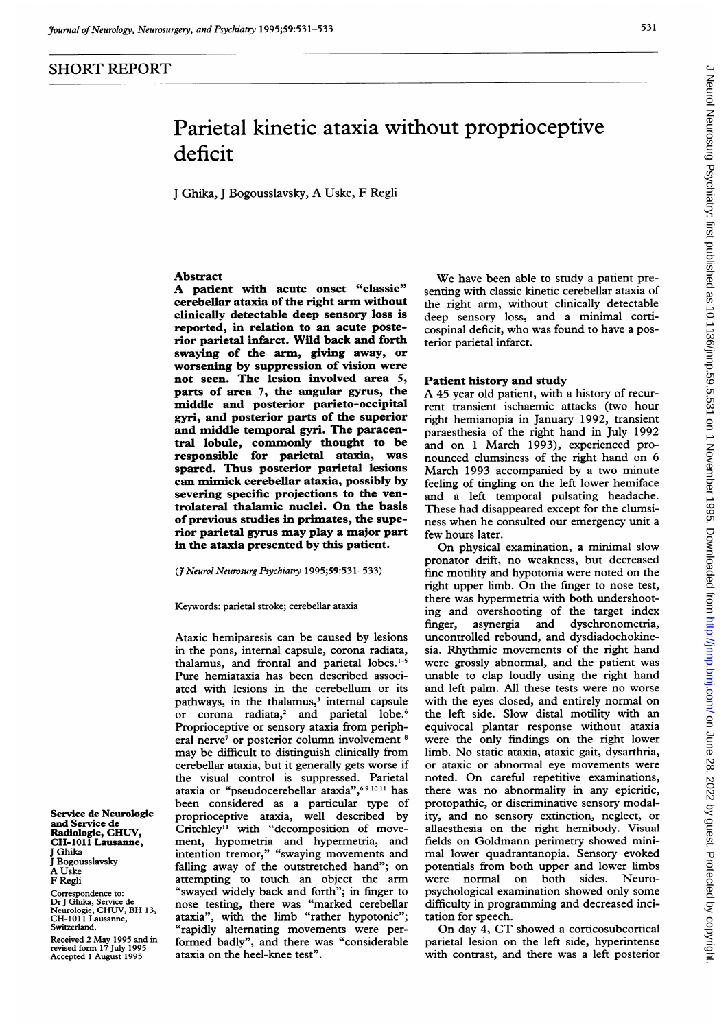# Parietal kinetic ataxia without proprioceptive deficit

<sup>J</sup> Ghika, <sup>J</sup> Bogousslavsky, A Uske, F Regli

### Abstract

A patient with acute onset "classic" cerebellar ataxia of the right arm without clinically detectable deep sensory loss is reported, in relation to an acute posterior parietal infarct. Wild back and forth swaying of the arm, giving away, or worsening by suppression of vision were not seen. The lesion involved area 5, parts of area 7, the angular gyrus, the middle and posterior parieto-occipital gyri, and posterior parts of the superior and middle temporal gyri. The paracentral lobule, commonly thought to be responsible for parietal ataxia, was spared. Thus posterior parietal lesions can mimick cerebellar ataxia, possibly by severing specific projections to the ventrolateral thalamic nuclei. On the basis of previous studies in primates, the superior parietal gyrus may play a major part in the ataxia presented by this patient.

#### (*J Neurol Neurosurg Psychiatry 1995;59:531-533*)

Keywords: parietal stroke; cerebellar ataxia

Ataxic hemiparesis can be caused by lesions in the pons, internal capsule, corona radiata, thalamus, and frontal and parietal lobes.'-5 Pure hemiataxia has been described associated with lesions in the cerebellum or its pathways, in the thalamus,<sup>3</sup> internal capsule or corona radiata,<sup>2</sup> and parietal lobe.<sup>6</sup> Proprioceptive or sensory ataxia from peripheral nerve<sup>7</sup> or posterior column involvement <sup>8</sup> may be difficult to distinguish clinically from cerebellar ataxia, but it generally gets worse if the visual control is suppressed. Parietal ataxia or "pseudocerebellar ataxia",<sup>691011</sup> has been considered as a particular type of proprioceptive ataxia, well described by Critchley" with "decomposition of movement, hypometria and hypermetria, and intention tremor," "swaying movements and falling away of the outstretched hand"; on attempting to touch an object the arm "swayed widely back and forth"; in finger to nose testing, there was "marked cerebellar ataxia", with the limb "rather hypotonic"; "rapidly alternating movements were performed badly", and there was "considerable ataxia on the heel-knee test".

We have been able to study <sup>a</sup> patient presenting with classic kinetic cerebellar ataxia of the right arm, without clinically detectable deep sensory loss, and a minimal corticospinal deficit, who was found to have <sup>a</sup> posterior parietal infarct.

## Patient history and study

A <sup>45</sup> year old patient, with <sup>a</sup> history of recurrent transient ischaemic attacks (two hour right hemianopia in January 1992, transient paraesthesia of the right hand in July 1992 and on <sup>1</sup> March 1993), experienced pronounced clumsiness of the right hand on 6 March 1993 accompanied by a two minute feeling of tingling on the left lower hemiface and a left temporal pulsating headache. These had disappeared except for the clumsiness when he consulted our emergency unit <sup>a</sup> few hours later.

On physical examination, <sup>a</sup> minimal slow pronator drift, no weakness, but decreased fine motility and hypotonia were noted on the right upper limb. On the finger to nose test, there was hypermetria with both undershooting and overshooting of the target index finger, asynergia and dyschronometria, uncontrolled rebound, and dysdiadochokinesia. Rhythmic movements of the right hand were grossly abnormal, and the patient was unable to clap loudly using the right hand and left palm. All these tests were no worse with the eyes closed, and entirely normal on the left side. Slow distal motility with an equivocal plantar response without ataxia were the only findings on the right lower limb. No static ataxia, ataxic gait, dysarthria, or ataxic or abnormal eye movements were noted. On careful repetitive examinations, there was no abnormality in any epicritic, protopathic, or discriminative sensory modality, and no sensory extinction, neglect, or allaesthesia on the right hemibody. Visual fields on Goldmann perimetry showed minimal lower quadrantanopia. Sensory evoked potentials from both upper and lower limbs were normal on both sides. Neuropsychological examination showed only some difficulty in programming and decreased incitation for speech.

On day 4, CT showed <sup>a</sup> corticosubcortical parietal lesion on the left side, hyperintense with contrast, and there was a left posterior

Service de Neurologie and Service de Radiologie, CHWV, CH-1011 Lausanne, Ghika J Bogousslavsky A Uske F Regli

Correspondence to: Dr <sup>J</sup> Ghika, Service de Neurologie, CHWV, BH 13, CH-1O1 <sup>1</sup> Lausanne, Switzerland.

Received 2 May 1995 and in revised form 17 July 1995 Accepted <sup>1</sup> August 1995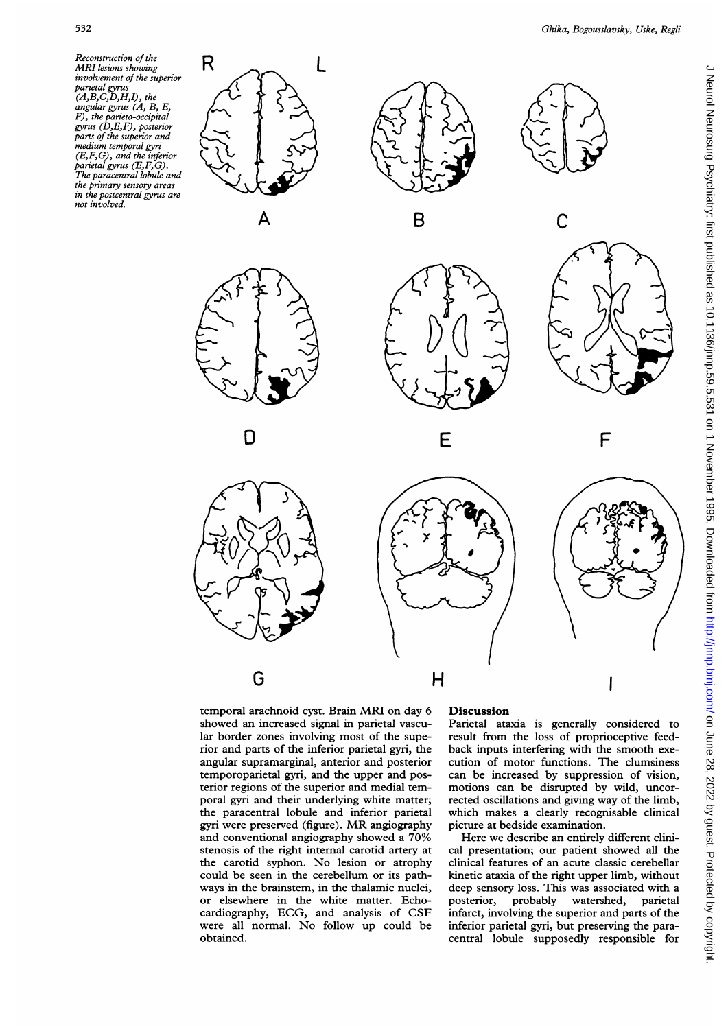Reconstruction of the MRI lesions showing involvement of the superior parietal gyrus (A,B,C,D,H,I), the angular gyrus (A, B, E, F), the parieto-occipital gyrus (D,E,F), posterior parts of the superior and medium temporal gyri (E,F,G), and the inferior parietal gyrus (E,F,G). The paracentral lobule and the primary sensory areas in the postcentral gyrus are not involved.







C



G











temporal arachnoid cyst. Brain MRI on day <sup>6</sup> showed an increased signal in parietal vascular border zones involving most of the superior and parts of the inferior parietal gyri, the angular supramarginal, anterior and posterior temporoparietal gyri, and the upper and posterior regions of the superior and medial temporal gyri and their underlying white matter; the paracentral lobule and inferior parietal gyri were preserved (figure). MR angiography and conventional angiography showed <sup>a</sup> 70% stenosis of the right internal carotid artery at the carotid syphon. No lesion or atrophy could be seen in the cerebellum or its pathways in the brainstem, in the thalamic nuclei, or elsewhere in the white matter. Echocardiography, ECG, and analysis of CSF were all normal. No follow up could be obtained.

## **Discussion**

Parietal ataxia is generally considered to result from the loss of proprioceptive feedback inputs interfering with the smooth execution of motor functions. The clumsiness can be increased by suppression of vision, motions can be disrupted by wild, uncorrected oscillations and giving way of the limb, which makes a clearly recognisable clinical picture at bedside examination.

Here we describe an entirely different clinical presentation; our patient showed all the clinical features of an acute classic cerebellar kinetic ataxia of the right upper limb, without deep sensory loss. This was associated with a posterior, probably watershed, parietal infarct, involving the superior and parts of the inferior parietal gyri, but preserving the paracentral lobule supposedly responsible for